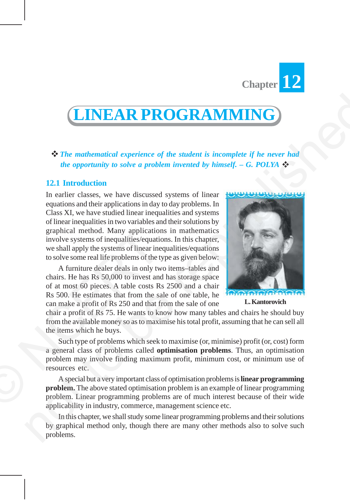

# **LINEAR PROGRAMMING**

*The mathematical experience of the student is incomplete if he never had the opportunity to solve a problem invented by himself. – G. POLYA* 

## **12.1 Introduction**

In earlier classes, we have discussed systems of linear equations and their applications in day to day problems. In Class XI, we have studied linear inequalities and systems of linear inequalities in two variables and their solutions by graphical method. Many applications in mathematics involve systems of inequalities/equations. In this chapter, we shall apply the systems of linear inequalities/equations to solve some real life problems of the type as given below: **CONSUMBERRA PROGRAMMING**<br> **EXPRESS ARTES AND ANTERNATION CONSUMBER CONSUMBER CONSUMBER CONSUMBER CONSUMBER CONSUMBER CONSUMBER CONSUMBER CONSUMBER CONSUMBER CONSUMBER CONSUMBER CONSUMBER CONSUMBER CONSUMBER CONSUMBER CON** 

A furniture dealer deals in only two items–tables and chairs. He has Rs 50,000 to invest and has storage space of at most 60 pieces. A table costs Rs 2500 and a chair Rs 500. He estimates that from the sale of one table, he can make a profit of Rs 250 and that from the sale of one graphical method. Many application<br>involve systems of inequalities/equation<br>we shall apply the systems of linear ine<br>to solve some real life problems of the t<br>A furniture dealer deals in only tw<br>chairs. He has Rs 50,000 to



**L. Kantorovich**

chair a profit of Rs 75. He wants to know how many tables and chairs he should buy from the available money so as to maximise his total profit, assuming that he can sell all the items which he buys.

Such type of problems which seek to maximise (or, minimise) profit (or, cost) form a general class of problems called **optimisation problems**. Thus, an optimisation problem may involve finding maximum profit, minimum cost, or minimum use of resources etc.

A special but a very important class of optimisation problems is **linear programming problem.** The above stated optimisation problem is an example of linear programming problem. Linear programming problems are of much interest because of their wide applicability in industry, commerce, management science etc.

In this chapter, we shall study some linear programming problems and their solutions by graphical method only, though there are many other methods also to solve such problems.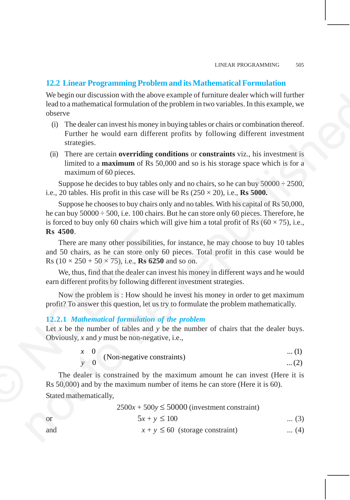## **12.2 Linear Programming Problem and its Mathematical Formulation**

We begin our discussion with the above example of furniture dealer which will further lead to a mathematical formulation of the problem in two variables. In this example, we observe

- (i) The dealer can invest his money in buying tables or chairs or combination thereof. Further he would earn different profits by following different investment strategies.
- (ii) There are certain **overriding conditions** or **constraints** viz., his investment is limited to a **maximum** of Rs 50,000 and so is his storage space which is for a maximum of 60 pieces.

Suppose he decides to buy tables only and no chairs, so he can buy  $50000 \div 2500$ , i.e., 20 tables. His profit in this case will be Rs  $(250 \times 20)$ , i.e., **Rs 5000.** 

Suppose he chooses to buy chairs only and no tables. With his capital of Rs 50,000, he can buy 50000 ÷ 500, i.e. 100 chairs. But he can store only 60 pieces. Therefore, he is forced to buy only 60 chairs which will give him a total profit of Rs ( $60 \times 75$ ), i.e., **Rs 4500**. We begin our discussion with the above example of furthure desire which will further<br>in the sample, we change the furthur discussion of the problem in two variables. In this cample, we<br>discusse that the would carn differe

There are many other possibilities, for instance, he may choose to buy 10 tables and 50 chairs, as he can store only 60 pieces. Total profit in this case would be Rs  $(10 \times 250 + 50 \times 75)$ , i.e., **Rs 6250** and so on.

We, thus, find that the dealer can invest his money in different ways and he would earn different profits by following different investment strategies.

Now the problem is : How should he invest his money in order to get maximum profit? To answer this question, let us try to formulate the problem mathematically.

## **12.2.1** *Mathematical formulation of the problem*

Let  $x$  be the number of tables and  $y$  be the number of chairs that the dealer buys. Obviously, *x* and *y* must be non-negative, i.e.,

0 ... (1) (Non-negative constraints) <sup>0</sup> ... (2) *x y*

The dealer is constrained by the maximum amount he can invest (Here it is Rs 50,000) and by the maximum number of items he can store (Here it is 60). Stated mathematically, **Rs 4500.**<br>There are many other possibilities<br>and 50 chairs, as he can store only<br>Rs  $(10 \times 250 + 50 \times 75)$ , i.e., **Rs 6250**<br>We, thus, find that the dealer can in<br>earn different profits by following diff<br>Now the problem is

 $2500x + 500y \le 50000$  (investment constraint)

or 
$$
5x + y \le 100
$$
 ... (3)

and  $x + y \le 60$  (storage constraint) ... (4)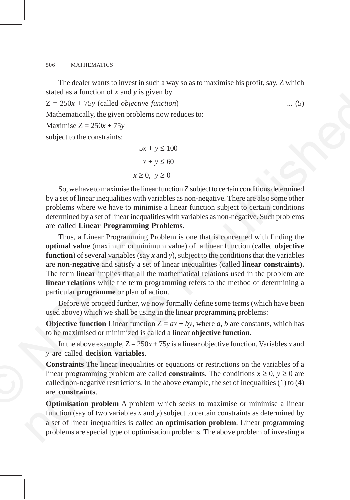The dealer wants to invest in such a way so as to maximise his profit, say, Z which stated as a function of *x* and *y* is given by

 $Z = 250x + 75y$  (called *objective function*) ... (5)

Mathematically, the given problems now reduces to:

Maximise  $Z = 250x + 75y$ 

subject to the constraints:

```
5x + y \le 100x + y ≤ 60
x \geq 0, y \geq 0
```
So, we have to maximise the linear function Z subject to certain conditions determined by a set of linear inequalities with variables as non-negative. There are also some other problems where we have to minimise a linear function subject to certain conditions determined by a set of linear inequalities with variables as non-negative. Such problems are called **Linear Programming Problems.**

Thus, a Linear Programming Problem is one that is concerned with finding the **optimal value** (maximum or minimum value) of a linear function (called **objective function**) of several variables (say *x* and *y*), subject to the conditions that the variables are **non-negative** and satisfy a set of linear inequalities (called **linear constraints).** The term **linear** implies that all the mathematical relations used in the problem are **linear relations** while the term programming refers to the method of determining a particular **programme** or plan of action. Thus, a Linear Programming Pro<br>
optimal value (maximum or minimum<br>
function) of several variables (say x are<br>
are non-negative and satisfy a set of<br>
The term linear implies that all the n<br>
linear relations while the term state as a rate-to-oriental and y as given to  $x = 1.50$ . (5)<br>  $Z = 2.50x + 75y$  (called objective function)<br>
Makiematical by the given problems now reduces to:<br>
Maxiemise  $Z = 250x + 75y$ <br>
subject to the constraints:<br>
Since

Before we proceed further, we now formally define some terms (which have been used above) which we shall be using in the linear programming problems:

**Objective function** Linear function  $Z = ax + by$ , where *a*, *b* are constants, which has to be maximised or minimized is called a linear **objective function.**

In the above example,  $Z = 250x + 75y$  is a linear objective function. Variables *x* and *y* are called **decision variables**.

**Constraints** The linear inequalities or equations or restrictions on the variables of a linear programming problem are called **constraints**. The conditions  $x \ge 0$ ,  $y \ge 0$  are called non-negative restrictions. In the above example, the set of inequalities (1) to (4) are **constraints**.

**Optimisation problem** A problem which seeks to maximise or minimise a linear function (say of two variables *x* and *y*) subject to certain constraints as determined by a set of linear inequalities is called an **optimisation problem**. Linear programming problems are special type of optimisation problems. The above problem of investing a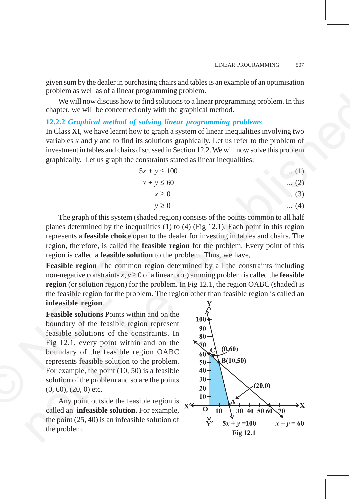given sum by the dealer in purchasing chairs and tables is an example of an optimisation problem as well as of a linear programming problem.

We will now discuss how to find solutions to a linear programming problem. In this chapter, we will be concerned only with the graphical method.

### **12.2.2** *Graphical method of solving linear programming problems*

In Class XI, we have learnt how to graph a system of linear inequalities involving two variables *x* and *y* and to find its solutions graphically. Let us refer to the problem of investment in tables and chairs discussed in Section 12.2. We will now solve this problem graphically. Let us graph the constraints stated as linear inequalities:

| $5x + y \le 100$ | $\ldots$ (1) |
|------------------|--------------|
| $x + y \leq 60$  | $\ldots$ (2) |
| $x \geq 0$       | $\ldots$ (3) |
| $y \geq 0$       | $(4)$        |

The graph of this system (shaded region) consists of the points common to all half planes determined by the inequalities (1) to (4) (Fig 12.1). Each point in this region represents a **feasible choice** open to the dealer for investing in tables and chairs. The region, therefore, is called the **feasible region** for the problem. Every point of this region is called a **feasible solution** to the problem. Thus, we have,

**Feasible region** The common region determined by all the constraints including non-negative constraints  $x, y \ge 0$  of a linear programming problem is called the **feasible region** (or solution region) for the problem. In Fig 12.1, the region OABC (shaded) is the feasible region for the problem. The region other than feasible region is called an **infeasible region**.

**Feasible solutions** Points within and on the boundary of the feasible region represent feasible solutions of the constraints. In Fig 12.1, every point within and on the boundary of the feasible region OABC represents feasible solution to the problem. For example, the point (10, 50) is a feasible solution of the problem and so are the points (0, 60), (20, 0) etc. planes determined by the inequalities<br>represents a **feasible choice** open to the region, therefore, is called the **feasible**<br>region is called a **feasible solution** to<br>**Feasible region** The common region<br>non-negative const

Any point outside the feasible region is called an **infeasible solution.** For example, the point (25, 40) is an infeasible solution of the problem.<br>**Fig 12.1** the problem.<br>**Fig 12.1** 

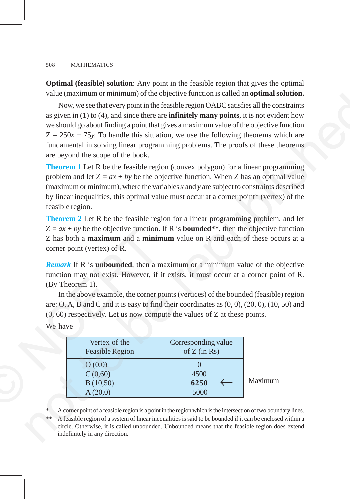**Optimal (feasible) solution**: Any point in the feasible region that gives the optimal value (maximum or minimum) of the objective function is called an **optimal solution.**

Now, we see that every point in the feasible region OABC satisfies all the constraints as given in (1) to (4), and since there are **infinitely many points**, it is not evident how we should go about finding a point that gives a maximum value of the objective function  $Z = 250x + 75y$ . To handle this situation, we use the following theorems which are fundamental in solving linear programming problems. The proofs of these theorems are beyond the scope of the book. Whow, we see that every point in the Considered unitsomption and in optimal solution.<br>
How, we see that every point in the Consider region OARC suits fix and when the reason (1) to (4), and since then are infinitely many

**Theorem 1** Let R be the feasible region (convex polygon) for a linear programming problem and let  $Z = ax + by$  be the objective function. When Z has an optimal value (maximum or minimum), where the variables *x* and *y* are subject to constraints described by linear inequalities, this optimal value must occur at a corner point\* (vertex) of the feasible region.

**Theorem 2** Let R be the feasible region for a linear programming problem, and let  $Z = ax + by$  be the objective function. If R is **bounded**\*\*, then the objective function Z has both a **maximum** and a **minimum** value on R and each of these occurs at a corner point (vertex) of R.

*Remark* If R is **unbounded**, then a maximum or a minimum value of the objective function may not exist. However, if it exists, it must occur at a corner point of R. (By Theorem 1).

In the above example, the corner points (vertices) of the bounded (feasible) region are: O, A, B and C and it is easy to find their coordinates as (0, 0), (20, 0), (10, 50) and (0, 60) respectively. Let us now compute the values of Z at these points.

| We have |
|---------|
|         |

|         | corner point (vertex) of R.              | $\mathcal{L} = ax + by$ be the objective function. If K is <b>bounded</b> **, then the objective<br>Z has both a maximum and a minimum value on R and each of these occ                                                                                                                                                                                                                                                               |         |
|---------|------------------------------------------|---------------------------------------------------------------------------------------------------------------------------------------------------------------------------------------------------------------------------------------------------------------------------------------------------------------------------------------------------------------------------------------------------------------------------------------|---------|
| We have | (By Theorem 1).                          | <b>Remark</b> If R is <b>unbounded</b> , then a maximum or a minimum value of the or<br>function may not exist. However, if it exists, it must occur at a corner poi<br>In the above example, the corner points (vertices) of the bounded (feasible<br>are: O, A, B and C and it is easy to find their coordinates as $(0, 0)$ , $(20, 0)$ , $(10, 0)$<br>$(0, 60)$ respectively. Let us now compute the values of Z at these points. |         |
|         | Vertex of the<br><b>Feasible Region</b>  | Corresponding value<br>of $Z$ (in Rs)                                                                                                                                                                                                                                                                                                                                                                                                 |         |
|         | O(0,0)<br>C(0,60)<br>B(10,50)<br>A(20,0) | 4500<br>6250<br>5000                                                                                                                                                                                                                                                                                                                                                                                                                  | Maximum |
|         |                                          | ra e e miliono de la provincia de la final da concelho de la c                                                                                                                                                                                                                                                                                                                                                                        |         |

A corner point of a feasible region is a point in the region which is the intersection of two boundary lines.

A feasible region of a system of linear inequalities is said to be bounded if it can be enclosed within a circle. Otherwise, it is called unbounded. Unbounded means that the feasible region does extend indefinitely in any direction.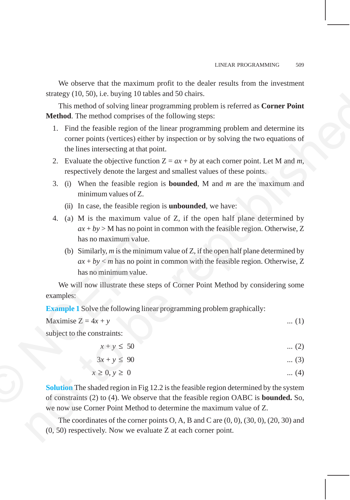We observe that the maximum profit to the dealer results from the investment strategy (10, 50), i.e. buying 10 tables and 50 chairs.

This method of solving linear programming problem is referred as **Corner Point Method**. The method comprises of the following steps:

- 1. Find the feasible region of the linear programming problem and determine its corner points (vertices) either by inspection or by solving the two equations of the lines intersecting at that point. stracy (UU, 300). Le. only as D to be said 20 contains problem is referred as **Corner Point**<br>
This method of solving linear programming problem is referred as **Corner Point**<br>
Method. The method comprises of the funkar pro
	- 2. Evaluate the objective function  $Z = ax + by$  at each corner point. Let M and *m*, respectively denote the largest and smallest values of these points.
	- 3. (i) When the feasible region is **bounded**, M and *m* are the maximum and minimum values of Z.
		- (ii) In case, the feasible region is **unbounded**, we have:
	- 4. (a) M is the maximum value of Z, if the open half plane determined by  $ax + by$  > M has no point in common with the feasible region. Otherwise, Z has no maximum value.
		- (b) Similarly, *m* is the minimum value of Z, if the open half plane determined by  $ax + by < m$  has no point in common with the feasible region. Otherwise, Z has no minimum value.

We will now illustrate these steps of Corner Point Method by considering some examples:

**Example 1** Solve the following linear programming problem graphically:

| Maximise $Z = 4x + y$       | $\dots(1)$ |
|-----------------------------|------------|
| subject to the constraints: |            |

 $x + y \le 50$  ... (2)

$$
3x + y \leq 90 \qquad \qquad \dots (3)
$$

$$
x \ge 0, y \ge 0 \tag{4}
$$

**Solution** The shaded region in Fig 12.2 is the feasible region determined by the system of constraints (2) to (4). We observe that the feasible region OABC is **bounded.** So, we now use Corner Point Method to determine the maximum value of Z.  $ax + by > M$  has no point in<br>has no maximum value.<br>(b) Similarly, *m* is the minimum<br> $ax + by < m$  has no point in<br>has no minimum value.<br>We will now illustrate these steps<br>examples:<br>**Example 1** Solve the following linear p<br>Maximise

> The coordinates of the corner points  $O, A, B$  and  $C$  are  $(0, 0), (30, 0), (20, 30)$  and (0, 50) respectively. Now we evaluate Z at each corner point.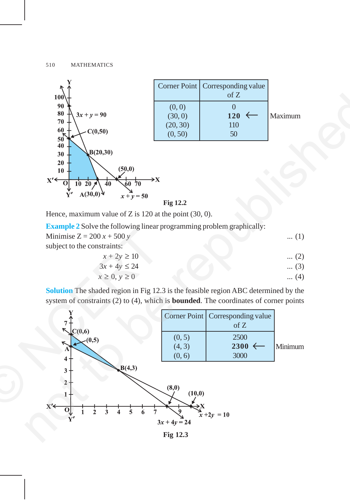

Corner Point | Corresponding value of Z  $(0, 0)$  0  $(30, 0)$  **120** ← Maximum<br>(20, 30) **110**  $(0, 50)$  50

**Fig 12.2**

Hence, maximum value of Z is 120 at the point (30, 0).

| <b>Example 2</b> Solve the following linear programming problem graphically: |                              |
|------------------------------------------------------------------------------|------------------------------|
| Minimise $Z = 200 x + 500 y$                                                 | $\dots(1)$                   |
| subject to the constraints:                                                  |                              |
| $x+2y \ge 10$                                                                | (2)<br>$\dddot{\phantom{0}}$ |

$$
3x + 4y \le 24 \tag{3}
$$

$$
x \ge 0, y \ge 0 \tag{4}
$$

**Solution** The shaded region in Fig 12.3 is the feasible region ABC determined by the system of constraints (2) to (4), which is **bounded**. The coordinates of corner points



**Fig 12.3**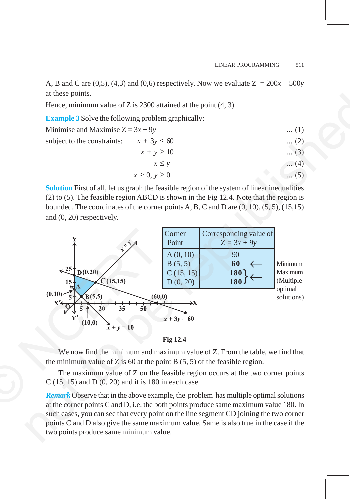A, B and C are  $(0,5)$ ,  $(4,3)$  and  $(0,6)$  respectively. Now we evaluate  $Z = 200x + 500y$ at these points.

Hence, minimum value of Z is  $2300$  attained at the point  $(4, 3)$ 

**Example 3** Solve the following problem graphically:

| Minimise and Maximise $Z = 3x + 9y$         |                      | $\dots(1)$  |
|---------------------------------------------|----------------------|-------------|
| subject to the constraints: $x + 3y \le 60$ |                      | $\dots (2)$ |
|                                             | $x + y \ge 10$       | $(3)$       |
|                                             | $x \leq y$           | $\dots(4)$  |
|                                             | $x \geq 0, y \geq 0$ | $\dots(5)$  |

**Solution** First of all, let us graph the feasible region of the system of linear inequalities (2) to (5). The feasible region ABCD is shown in the Fig 12.4. Note that the region is bounded. The coordinates of the corner points A, B, C and D are  $(0, 10)$ ,  $(5, 5)$ ,  $(15, 15)$ and (0, 20) respectively.





We now find the minimum and maximum value of Z. From the table, we find that the minimum value of Z is 60 at the point B  $(5, 5)$  of the feasible region.

The maximum value of Z on the feasible region occurs at the two corner points C (15, 15) and D (0, 20) and it is 180 in each case.

*Remark* Observe that in the above example, the problem has multiple optimal solutions at the corner points C and D, i.e. the both points produce same maximum value 180. In such cases, you can see that every point on the line segment CD joining the two corner points C and D also give the same maximum value. Same is also true in the case if the two points produce same minimum value.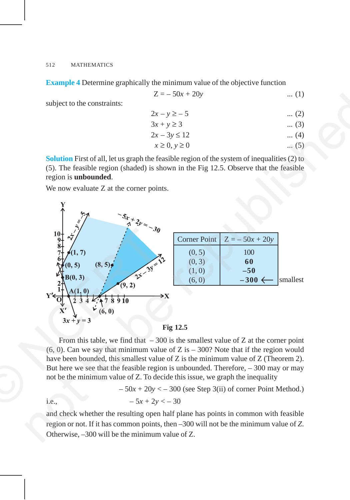**Example 4** Determine graphically the minimum value of the objective function

$$
Z = -50x + 20y \tag{1}
$$

subject to the constraints:

$$
2x - y \ge -5 \qquad \qquad \dots (2)
$$

$$
3x + y \ge 3 \qquad \dots (3)
$$

$$
2x - 3y \le 12 \tag{4}
$$

$$
x \ge 0, y \ge 0 \tag{5}
$$

**Solution** First of all, let us graph the feasible region of the system of inequalities (2) to (5). The feasible region (shaded) is shown in the Fig 12.5. Observe that the feasible region is **unbounded**.

We now evaluate Z at the corner points.



**Fig 12.5**

From this table, we find that  $-300$  is the smallest value of Z at the corner point  $(6, 0)$ . Can we say that minimum value of Z is  $-300$ ? Note that if the region would have been bounded, this smallest value of Z is the minimum value of Z (Theorem 2). But here we see that the feasible region is unbounded. Therefore, – 300 may or may not be the minimum value of Z. To decide this issue, we graph the inequality

$$
-50x + 20y < -300
$$
 (see Step 3(ii) of corner Point Method.)

i.e.,  $-5x + 2y < -30$ 

and check whether the resulting open half plane has points in common with feasible region or not. If it has common points, then –300 will not be the minimum value of *Z*. Otherwise, –300 will be the minimum value of Z.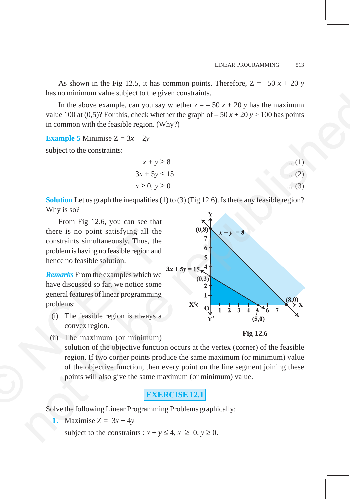As shown in the Fig 12.5, it has common points. Therefore,  $Z = -50 x + 20 y$ has no minimum value subject to the given constraints.

In the above example, can you say whether  $z = -50x + 20y$  has the maximum value 100 at  $(0,5)$ ? For this, check whether the graph of  $-50x + 20y > 100$  has points in common with the feasible region. (Why?)

**Example 5** Minimise  $Z = 3x + 2y$ 

subject to the constraints:

$$
x + y \ge 8 \qquad \dots (1)
$$
  
\n
$$
3x + 5y \le 15 \qquad \dots (2)
$$
  
\n
$$
x \ge 0, y \ge 0 \qquad \dots (3)
$$

**Solution** Let us graph the inequalities (1) to (3) (Fig 12.6). Is there any feasible region? Why is so?

From Fig 12.6, you can see that there is no point satisfying all the constraints simultaneously. Thus, the problem is having no feasible region and hence no feasible solution. there is no point satisfying all the<br>constraints simultaneously. Thus, the<br>problem is having no feasible region and<br>hence no feasible solution.<br>**Remarks** From the examples which we<br>have discussed so far, we notice some<br>gen

*Remarks* From the examples which we have discussed so far, we notice some general features of linear programming problems:

- (i) The feasible region is always a convex region.
	-



(ii) The maximum (or minimum)

solution of the objective function occurs at the vertex (corner) of the feasible region. If two corner points produce the same maximum (or minimum) value of the objective function, then every point on the line segment joining these points will also give the same maximum (or minimum) value.

## **EXERCISE 12.1**

Solve the following Linear Programming Problems graphically:

**1.** Maximise  $Z = 3x + 4y$ 

subject to the constraints :  $x + y \le 4$ ,  $x \ge 0$ ,  $y \ge 0$ .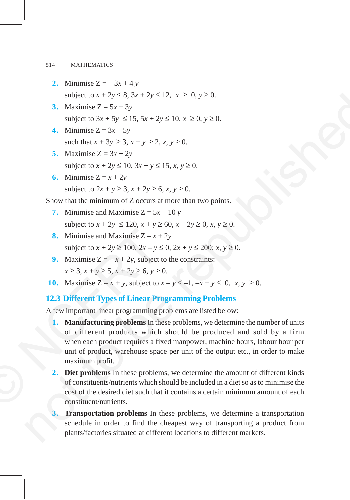- **2.** Minimise  $Z = -3x + 4y$ subject to  $x + 2y \le 8$ ,  $3x + 2y \le 12$ ,  $x \ge 0$ ,  $y \ge 0$ .
- **3.** Maximise  $Z = 5x + 3y$ subject to  $3x + 5y \le 15$ ,  $5x + 2y \le 10$ ,  $x \ge 0$ ,  $y \ge 0$ .
- **4.** Minimise  $Z = 3x + 5y$ such that  $x + 3y \ge 3$ ,  $x + y \ge 2$ ,  $x, y \ge 0$ .
- **5.** Maximise  $Z = 3x + 2y$ subject to  $x + 2y \le 10$ ,  $3x + y \le 15$ ,  $x, y \ge 0$ .
- **6.** Minimise  $Z = x + 2y$ subject to  $2x + y \ge 3$ ,  $x + 2y \ge 6$ ,  $x, y \ge 0$ .

Show that the minimum of Z occurs at more than two points.

- **7.** Minimise and Maximise  $Z = 5x + 10y$ subject to  $x + 2y \le 120$ ,  $x + y \ge 60$ ,  $x - 2y \ge 0$ ,  $x, y \ge 0$ .
- **8.** Minimise and Maximise  $Z = x + 2y$ subject to  $x + 2y \ge 100$ ,  $2x - y \le 0$ ,  $2x + y \le 200$ ;  $x, y \ge 0$ .
- **9.** Maximise  $Z = -x + 2y$ , subject to the constraints:  $x \ge 3$ ,  $x + y \ge 5$ ,  $x + 2y \ge 6$ ,  $y \ge 0$ .
- **10.** Maximise  $Z = x + y$ , subject to  $x y \le -1$ ,  $-x + y \le 0$ ,  $x, y \ge 0$ .

## **12.3 Different Types of Linear Programming Problems**

A few important linear programming problems are listed below:

- **1. Manufacturing problems** In these problems, we determine the number of units of different products which should be produced and sold by a firm when each product requires a fixed manpower, machine hours, labour hour per unit of product, warehouse space per unit of the output etc., in order to make maximum profit. 8. Minimise and Maximise  $Z = x +$ <br>subject to  $x + 2y \ge 100$ ,  $2x - y \le 9$ . Maximise  $Z = -x + 2y$ , subject<br> $x \ge 3$ ,  $x + y \ge 5$ ,  $x + 2y \ge 6$ ,  $y \ge 10$ . Maximise  $Z = x + y$ , subject to.<br>12.3 Different Types of Linear Pro<br>A few importan subject to  $x + 2y \le 8$ ,  $3x + 2y \le 12$ ,  $x \ge 0$ ,  $y \ge 0$ .<br>
3. Maximise  $Z = 5x + 3y$ <br>
subject to  $3x + 5y \le 15$ ,  $5x + 2y \le 10$ ,  $x \ge 0$ ,  $y \ge 0$ .<br>
4. Minimise  $Z = 3x + 2y$ <br>
subject to  $x + 3y \ge 3$ ,  $x + y \ge 2$ ,  $x, y \ge 0$ .<br>
5. Max
	- **2. Diet problems** In these problems, we determine the amount of different kinds of constituents/nutrients which should be included in a diet so as to minimise the cost of the desired diet such that it contains a certain minimum amount of each constituent/nutrients.
	- **3. Transportation problems** In these problems, we determine a transportation schedule in order to find the cheapest way of transporting a product from plants/factories situated at different locations to different markets.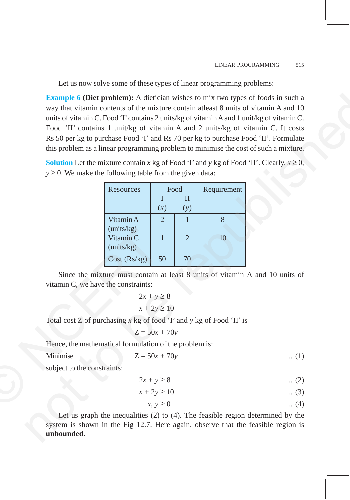Let us now solve some of these types of linear programming problems:

**Example 6 (Diet problem):** A dietician wishes to mix two types of foods in such a way that vitamin contents of the mixture contain atleast 8 units of vitamin A and 10 units of vitamin C. Food 'I' contains 2 units/kg of vitamin A and 1 unit/kg of vitamin C. Food 'II' contains 1 unit/kg of vitamin A and 2 units/kg of vitamin C. It costs Rs 50 per kg to purchase Food 'I' and Rs 70 per kg to purchase Food 'II'. Formulate this problem as a linear programming problem to minimise the cost of such a mixture. Example 6 (Diet problem): A dietician wishes to mix two types of foods in such a<br>
way that vinnin contents of the mixture contain atleast 8 units of vitamin A and 10<br>
units of vitamin C. Frond T' contains 2 units  $Re$  of v

**Solution** Let the mixture contain *x* kg of Food 'I' and *y* kg of Food 'II'. Clearly,  $x \ge 0$ ,  $y \ge 0$ . We make the following table from the given data:

|                                                                          | Resources                                                  | Food            |                | Requirement |
|--------------------------------------------------------------------------|------------------------------------------------------------|-----------------|----------------|-------------|
|                                                                          |                                                            | I               | $\mathbf{I}$   |             |
|                                                                          |                                                            | (x)             | (y)            |             |
|                                                                          | Vitamin A<br>(units/kg)                                    | $\overline{2}$  | $\mathbf{1}$   | 8           |
|                                                                          | Vitamin C<br>(units/kg)                                    | $\mathbf{1}$    | $\overline{2}$ | 10          |
|                                                                          | Cost (Rs/kg)                                               | 50              | 70             |             |
|                                                                          | Since the mixture must contain at least 8 units of vitamin |                 |                |             |
| vitamin C, we have the constraints:                                      |                                                            |                 |                |             |
|                                                                          |                                                            | $2x + y \ge 8$  |                |             |
|                                                                          |                                                            | $x + 2y \ge 10$ |                |             |
| Total cost Z of purchasing $x$ kg of food 'I' and $y$ kg of Food 'II' is |                                                            |                 |                |             |
|                                                                          |                                                            | $Z = 50x + 70y$ |                |             |
| Hence, the mathematical formulation of the problem is:                   |                                                            |                 |                |             |
| Minimise                                                                 |                                                            | $Z = 50x + 70y$ |                |             |
| subject to the constraints:                                              |                                                            |                 |                |             |
|                                                                          |                                                            | $2x + y \ge 8$  |                |             |
|                                                                          |                                                            | $x + 2y \ge 10$ |                |             |
|                                                                          |                                                            | $x, y \geq 0$   |                |             |

Since the mixture must contain at least 8 units of vitamin A and 10 units of vitamin C, we have the constraints:

$$
2x + y \ge 8
$$
  

$$
x + 2y \ge 10
$$

$$
Z = 50x + 70y
$$

Minimise  $Z = 50x + 70y$  ... (1)

$$
2x + y \ge 8 \qquad \qquad \dots (2)
$$

$$
x + 2y \ge 10 \qquad \qquad \dots (3)
$$

$$
x, y \ge 0 \tag{4}
$$

Let us graph the inequalities (2) to (4). The feasible region determined by the system is shown in the Fig 12.7. Here again, observe that the feasible region is **unbounded**.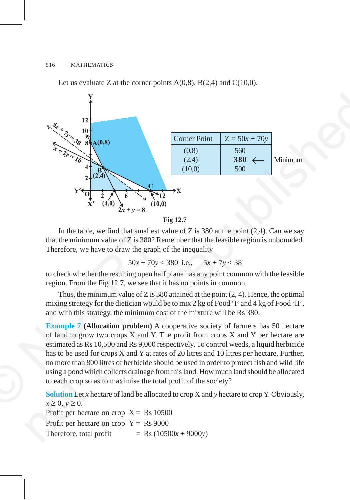Let us evaluate Z at the corner points  $A(0,8)$ ,  $B(2,4)$  and  $C(10,0)$ .





In the table, we find that smallest value of  $Z$  is 380 at the point  $(2,4)$ . Can we say that the minimum value of Z is 380? Remember that the feasible region is unbounded. Therefore, we have to draw the graph of the inequality

$$
50x + 70y < 380
$$
 i.e.,  $5x + 7y < 38$ 

to check whether the resulting open half plane has any point common with the feasible region. From the Fig 12.7, we see that it has no points in common.

Thus, the minimum value of Z is 380 attained at the point  $(2, 4)$ . Hence, the optimal mixing strategy for the dietician would be to mix 2 kg of Food 'I' and 4 kg of Food 'II', and with this strategy, the minimum cost of the mixture will be Rs 380.

**Example 7 (Allocation problem)** A cooperative society of farmers has 50 hectare of land to grow two crops X and Y. The profit from crops X and Y per hectare are estimated as Rs 10,500 and Rs 9,000 respectively. To control weeds, a liquid herbicide has to be used for crops X and Y at rates of 20 litres and 10 litres per hectare. Further, no more than 800 litres of herbicide should be used in order to protect fish and wild life using a pond which collects drainage from this land. How much land should be allocated to each crop so as to maximise the total profit of the society? In the table, we find that smallest<br>that the minimum value of Z is 380? R<br>Therefore, we have to draw the graph<br> $50x + 70y$ <br>to check whether the resulting open ha<br>region. From the Fig 12.7, we see that<br>Thus, the minimum val

**Solution** Let *x* hectare of land be allocated to crop X and *y* hectare to crop Y. Obviously,  $x \geq 0$ ,  $y \geq 0$ . Profit per hectare on crop  $X = Rs 10500$ Profit per hectare on crop  $Y = Rs 9000$ Therefore, total profit  $=$  Rs (10500*x* + 9000*y*)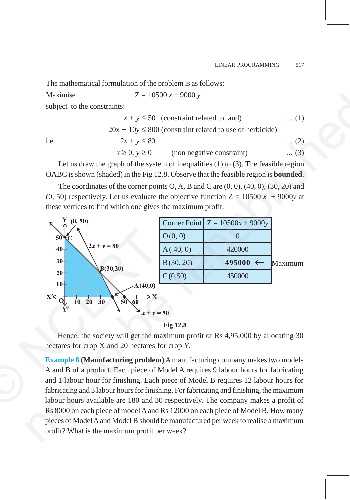The mathematical formulation of the problem is as follows:

Maximise  $Z = 10500 x + 9000 y$ subject to the constraints:

|      | $x + y \le 50$ (constraint related to land)                  | $\dots(1)$ |
|------|--------------------------------------------------------------|------------|
|      | $20x + 10y \le 800$ (constraint related to use of herbicide) |            |
| 1.e. | $2x + y \le 80$                                              | $(2)$      |

 $x \ge 0$ ,  $y \ge 0$  (non negative constraint) ... (3)

Let us draw the graph of the system of inequalities  $(1)$  to  $(3)$ . The feasible region OABC is shown (shaded) in the Fig 12.8. Observe that the feasible region is **bounded**.

The coordinates of the corner points  $O, A, B$  and  $C$  are  $(0, 0), (40, 0), (30, 20)$  and (0, 50) respectively. Let us evaluate the objective function  $Z = 10500 x + 9000y$  at these vertices to find which one gives the maximum profit.





Hence, the society will get the maximum profit of Rs 4,95,000 by allocating 30 hectares for crop X and 20 hectares for crop Y.

**Example 8 (Manufacturing problem)** A manufacturing company makes two models A and B of a product. Each piece of Model A requires 9 labour hours for fabricating and 1 labour hour for finishing. Each piece of Model B requires 12 labour hours for fabricating and 3 labour hours for finishing. For fabricating and finishing, the maximum labour hours available are 180 and 30 respectively. The company makes a profit of Rs 8000 on each piece of model A and Rs 12000 on each piece of Model B. How many pieces of Model A and Model B should be manufactured per week to realise a maximum profit? What is the maximum profit per week?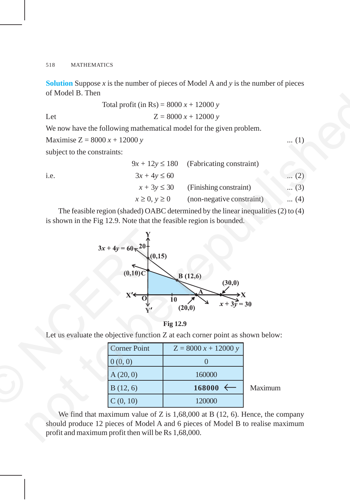**Solution** Suppose  $x$  is the number of pieces of Model A and  $y$  is the number of pieces of Model B. Then

Total profit (in Rs) = 
$$
8000 x + 12000 y
$$
  
Let  $Z = 8000 x + 12000 y$ 

We now have the following mathematical model for the given problem.

Maximise  $Z = 8000 x + 12000 y$  ... (1)

subject to the constraints:

|      |                      | $9x + 12y \le 180$ (Fabricating constraint) |              |
|------|----------------------|---------------------------------------------|--------------|
| i.e. | $3x + 4y \le 60$     |                                             | $\dots (2)$  |
|      | $x + 3y \leq 30$     | (Finishing constraint)                      | $\ldots$ (3) |
|      | $x \geq 0, y \geq 0$ | (non-negative constraint)                   | $\dots (4)$  |
|      |                      |                                             |              |

The feasible region (shaded) OABC determined by the linear inequalities (2) to (4) is shown in the Fig 12.9. Note that the feasible region is bounded.





Let us evaluate the objective function Z at each corner point as shown below:

| <b>Corner Point</b> | $Z = 8000 x + 12000 y$ |         |
|---------------------|------------------------|---------|
| 0(0, 0)             |                        |         |
| A(20, 0)            | 160000                 |         |
| B(12, 6)            | $168000 \leftarrow$    | Maximum |
| C(0, 10)            | 120000                 |         |

We find that maximum value of Z is  $1,68,000$  at B (12, 6). Hence, the company should produce 12 pieces of Model A and 6 pieces of Model B to realise maximum profit and maximum profit then will be Rs 1,68,000.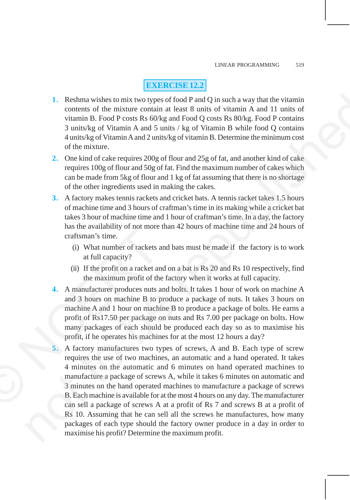## **EXERCISE 12.2**

- **1.** Reshma wishes to mix two types of food P and Q in such a way that the vitamin contents of the mixture contain at least 8 units of vitamin A and 11 units of vitamin B. Food P costs Rs 60/kg and Food Q costs Rs 80/kg. Food P contains 3 units/kg of Vitamin A and 5 units / kg of Vitamin B while food Q contains 4 units/kg of Vitamin A and 2 units/kg of vitamin B. Determine the minimum cost of the mixture.
- **2.** One kind of cake requires 200g of flour and 25g of fat, and another kind of cake requires 100g of flour and 50g of fat. Find the maximum number of cakes which can be made from 5kg of flour and 1 kg of fat assuming that there is no shortage of the other ingredients used in making the cakes.
- **3.** A factory makes tennis rackets and cricket bats. A tennis racket takes 1.5 hours of machine time and 3 hours of craftman's time in its making while a cricket bat takes 3 hour of machine time and 1 hour of craftman's time. In a day, the factory has the availability of not more than 42 hours of machine time and 24 hours of craftsman's time.
	- (i) What number of rackets and bats must be made if the factory is to work at full capacity?
	- (ii) If the profit on a racket and on a bat is Rs 20 and Rs 10 respectively, find the maximum profit of the factory when it works at full capacity.
- **4.** A manufacturer produces nuts and bolts. It takes 1 hour of work on machine A and 3 hours on machine B to produce a package of nuts. It takes 3 hours on machine A and 1 hour on machine B to produce a package of bolts. He earns a profit of Rs17.50 per package on nuts and Rs 7.00 per package on bolts. How many packages of each should be produced each day so as to maximise his profit, if he operates his machines for at the most 12 hours a day?
- **5.** A factory manufactures two types of screws, A and B. Each type of screw requires the use of two machines, an automatic and a hand operated. It takes 4 minutes on the automatic and 6 minutes on hand operated machines to manufacture a package of screws A, while it takes 6 minutes on automatic and 3 minutes on the hand operated machines to manufacture a package of screws B. Each machine is available for at the most 4 hours on any day. The manufacturer can sell a package of screws A at a profit of Rs 7 and screws B at a profit of Rs 10. Assuming that he can sell all the screws he manufactures, how many packages of each type should the factory owner produce in a day in order to maximise his profit? Determine the maximum profit. The contract of the same and a method of the same of the same of the profit of the maximum profit of the maximum profit of the maximum profit of the 4. A manufacturer produces nuts a and 3 hours on machine B to p machine A 1. Recharm wishes to mixt two types of food P and Q in such a way that the virtuanism<br>
contents of the mixture contain at least 8 units of virtuanin A and 11 units of<br>
visuain R Food P cossa Rs 60Åg and Food Q coss Rs 80Å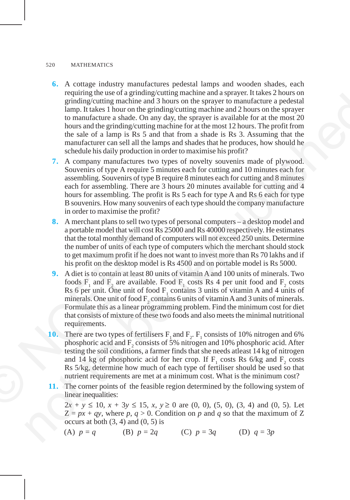- **6.** A cottage industry manufactures pedestal lamps and wooden shades, each requiring the use of a grinding/cutting machine and a sprayer. It takes 2 hours on grinding/cutting machine and 3 hours on the sprayer to manufacture a pedestal lamp. It takes 1 hour on the grinding/cutting machine and 2 hours on the sprayer to manufacture a shade. On any day, the sprayer is available for at the most 20 hours and the grinding/cutting machine for at the most 12 hours. The profit from the sale of a lamp is Rs 5 and that from a shade is Rs 3. Assuming that the manufacturer can sell all the lamps and shades that he produces, how should he schedule his daily production in order to maximise his profit? requiring the mass of a grain<br>mathematic and phase and phase and space in the system and the system and the result of<br>standard the result of the system is the system in the system of<br>the result of the system in the system
	- **7.** A company manufactures two types of novelty souvenirs made of plywood. Souvenirs of type A require 5 minutes each for cutting and 10 minutes each for assembling. Souvenirs of type B require 8 minutes each for cutting and 8 minutes each for assembling. There are 3 hours 20 minutes available for cutting and 4 hours for assembling. The profit is Rs 5 each for type A and Rs 6 each for type B souvenirs. How many souvenirs of each type should the company manufacture in order to maximise the profit?
	- **8.** A merchant plans to sell two types of personal computers a desktop model and a portable model that will cost Rs 25000 and Rs 40000 respectively. He estimates that the total monthly demand of computers will not exceed 250 units. Determine the number of units of each type of computers which the merchant should stock to get maximum profit if he does not want to invest more than Rs 70 lakhs and if his profit on the desktop model is Rs 4500 and on portable model is Rs 5000.
- **9.** A diet is to contain at least 80 units of vitamin A and 100 units of minerals. Two foods  $F_1$  and  $F_2$  are available. Food  $F_1$  costs Rs 4 per unit food and  $F_2$  costs Rs 6 per unit. One unit of food  $F_1$  contains 3 units of vitamin A and 4 units of minerals. One unit of food  $F_2$  contains 6 units of vitamin A and 3 units of minerals. Formulate this as a linear programming problem. Find the minimum cost for diet that consists of mixture of these two foods and also meets the minimal nutritional requirements. a portable model that will cost Rs<br>that the total monthly demand of<br>the number of units of each type<br>to get maximum profit if he does<br>his profit on the desktop model i<br>**9.** A diet is to contain at least 80 un<br>foods  $F_1$ 
	- **10.** There are two types of fertilisers  $F_1$  and  $F_2$ .  $F_1$  consists of 10% nitrogen and 6% phosphoric acid and  $F_2$  consists of 5% nitrogen and 10% phosphoric acid. After testing the soil conditions, a farmer finds that she needs atleast 14 kg of nitrogen and 14 kg of phosphoric acid for her crop. If  $F_1$  costs Rs 6/kg and  $F_2$  costs Rs 5/kg, determine how much of each type of fertiliser should be used so that nutrient requirements are met at a minimum cost. What is the minimum cost?
	- **11.** The corner points of the feasible region determined by the following system of linear inequalities:

 $2x + y \le 10$ ,  $x + 3y \le 15$ ,  $x, y \ge 0$  are  $(0, 0)$ ,  $(5, 0)$ ,  $(3, 4)$  and  $(0, 5)$ . Let  $Z = px + qy$ , where p,  $q > 0$ . Condition on p and q so that the maximum of Z occurs at both  $(3, 4)$  and  $(0, 5)$  is

(A) 
$$
p = q
$$
 (B)  $p = 2q$  (C)  $p = 3q$  (D)  $q = 3p$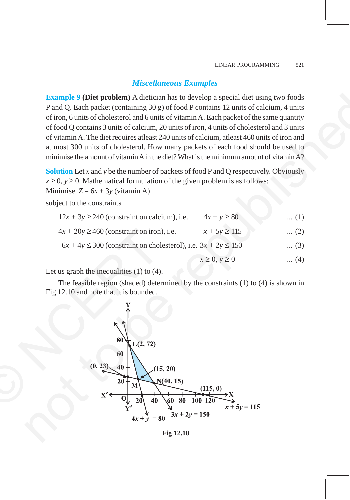## *Miscellaneous Examples*

**Example 9 (Diet problem)** A dietician has to develop a special diet using two foods P and Q. Each packet (containing 30 g) of food P contains 12 units of calcium, 4 units of iron, 6 units of cholesterol and 6 units of vitamin A. Each packet of the same quantity of food Q contains 3 units of calcium, 20 units of iron, 4 units of cholesterol and 3 units of vitamin A. The diet requires atleast 240 units of calcium, atleast 460 units of iron and at most 300 units of cholesterol. How many packets of each food should be used to minimise the amount of vitamin A in the diet? What is the minimum amount of vitamin  $A$ ?

**Solution** Let *x* and *y* be the number of packets of food P and Q respectively. Obviously  $x \ge 0$ ,  $y \ge 0$ . Mathematical formulation of the given problem is as follows:

Minimise  $Z = 6x + 3y$  (vitamin A)

subject to the constraints

| $12x + 3y \ge 240$ (constraint on calcium), i.e.                      | $4x + y \ge 80$      | $\dots(1)$  |
|-----------------------------------------------------------------------|----------------------|-------------|
| $4x + 20y \ge 460$ (constraint on iron), i.e.                         | $x + 5y \ge 115$     | $(2)$       |
| $6x + 4y \le 300$ (constraint on cholesterol), i.e. $3x + 2y \le 150$ |                      | $\dots (3)$ |
|                                                                       | $x \geq 0, y \geq 0$ | $\dots(4)$  |

Let us graph the inequalities (1) to (4).

The feasible region (shaded) determined by the constraints (1) to (4) is shown in Fig 12.10 and note that it is bounded.



**Fig 12.10**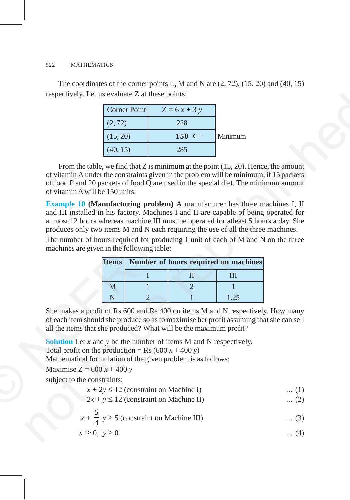The coordinates of the corner points L, M and N are  $(2, 72)$ ,  $(15, 20)$  and  $(40, 15)$ respectively. Let us evaluate Z at these points:

| Corner Point | $Z = 6x + 3y$    |         |
|--------------|------------------|---------|
| (2, 72)      | 228              |         |
| (15, 20)     | $150 \leftarrow$ | Minimum |
| (40, 15)     | 285              |         |

From the table, we find that  $Z$  is minimum at the point  $(15, 20)$ . Hence, the amount of vitamin A under the constraints given in the problem will be minimum, if 15 packets of food P and 20 packets of food Q are used in the special diet. The minimum amount of vitamin A will be 150 units.

**Example 10 (Manufacturing problem)** A manufacturer has three machines I, II and III installed in his factory. Machines I and II are capable of being operated for at most 12 hours whereas machine III must be operated for atleast 5 hours a day. She produces only two items M and N each requiring the use of all the three machines. respectively. Let us evaluate Z at these points<br>  $2\pi$ <br>  $\frac{1}{(2\pi/2)^2}$ <br>  $\frac{(2\pi)^2}{(3\pi/2)^2}$ <br>  $\frac{(2\pi)^2}{(4\pi/2)^2}$ <br>  $\frac{(2\pi)^2}{(4\pi/2)^2}$ <br>  $\frac{(2\pi)^2}{(4\pi/2)^2}$ <br>  $\frac{(4\pi)^2}{(4\pi/2)^2}$ <br>  $\frac{(4\pi)^2}{(4\pi/2)^2}$ <br>  $\frac{(4\pi)^2}{(4\pi/$ 

The number of hours required for producing 1 unit of each of M and N on the three machines are given in the following table:

| produces only two items M and N each requiring the use of all the three                                                                                                                                |                                            |                                      |      |  |
|--------------------------------------------------------------------------------------------------------------------------------------------------------------------------------------------------------|--------------------------------------------|--------------------------------------|------|--|
| The number of hours required for producing 1 unit of each of M and N<br>machines are given in the following table:                                                                                     |                                            |                                      |      |  |
| <b>Items</b>                                                                                                                                                                                           |                                            | Number of hours required on machines |      |  |
|                                                                                                                                                                                                        |                                            | $\mathbf{I}$                         | Ш    |  |
| M                                                                                                                                                                                                      |                                            | $\overline{2}$                       |      |  |
| N                                                                                                                                                                                                      | $\overline{2}$                             |                                      | 1.25 |  |
| of each item should she produce so as to maximise her profit assuming that<br>all the items that she produced? What will be the maximum profit?                                                        |                                            |                                      |      |  |
| <b>Solution</b> Let $x$ and $y$ be the number of items M and N respectively.<br>Total profit on the production = Rs (600 $x + 400 y$ )<br>Mathematical formulation of the given problem is as follows: |                                            |                                      |      |  |
| Maximise $Z = 600 x + 400 y$                                                                                                                                                                           |                                            |                                      |      |  |
| subject to the constraints:                                                                                                                                                                            |                                            |                                      |      |  |
|                                                                                                                                                                                                        | $x + 2y \le 12$ (constraint on Machine I)  |                                      |      |  |
|                                                                                                                                                                                                        | $2x + y \le 12$ (constraint on Machine II) |                                      |      |  |
|                                                                                                                                                                                                        |                                            |                                      |      |  |

She makes a profit of Rs 600 and Rs 400 on items M and N respectively. How many of each item should she produce so as to maximise her profit assuming that she can sell all the items that she produced? What will be the maximum profit?

|  | $x + 2y \le 12$ (constraint on Machine I) |  |  |  |
|--|-------------------------------------------|--|--|--|
|--|-------------------------------------------|--|--|--|

$$
2x + y \le 12
$$
 (constraint on Machine II) ... (2)

$$
x + \frac{5}{4} y \ge 5
$$
 (constraint on Machine III) ... (3)

$$
x \ge 0, \ y \ge 0 \tag{4}
$$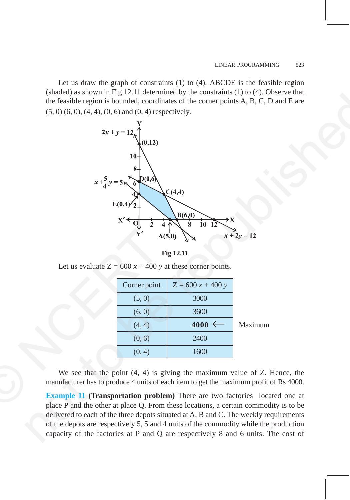Let us draw the graph of constraints (1) to (4). ABCDE is the feasible region (shaded) as shown in Fig 12.11 determined by the constraints (1) to (4). Observe that the feasible region is bounded, coordinates of the corner points A, B, C, D and E are  $(5, 0)$   $(6, 0)$ ,  $(4, 4)$ ,  $(0, 6)$  and  $(0, 4)$  respectively.



**Fig 12.11**

| Fig 12.11<br>Let us evaluate $Z = 600 x + 400 y$ at these corner points.<br>Corner point<br>$Z = 600 x + 400 y$<br>3000<br>(5, 0)<br>(6, 0)<br>3600<br>$4000 \leftarrow$<br>(4, 4)<br>2400<br>(0, 6)<br>(0, 4)<br>1600<br>We see that the point $(4, 4)$ is giving the maximum value of Z.<br>manufacturer has to produce 4 units of each item to get the maximum profit<br><b>Example 11 (Transportation problem)</b> There are two factories local | $\overline{\mathbf{Y'}}$ | A(5,0) | $x + 2y = 12$ |
|------------------------------------------------------------------------------------------------------------------------------------------------------------------------------------------------------------------------------------------------------------------------------------------------------------------------------------------------------------------------------------------------------------------------------------------------------|--------------------------|--------|---------------|
|                                                                                                                                                                                                                                                                                                                                                                                                                                                      |                          |        |               |
|                                                                                                                                                                                                                                                                                                                                                                                                                                                      |                          |        |               |
|                                                                                                                                                                                                                                                                                                                                                                                                                                                      |                          |        |               |
|                                                                                                                                                                                                                                                                                                                                                                                                                                                      |                          |        |               |
|                                                                                                                                                                                                                                                                                                                                                                                                                                                      |                          |        |               |
|                                                                                                                                                                                                                                                                                                                                                                                                                                                      |                          |        | Maximum       |
|                                                                                                                                                                                                                                                                                                                                                                                                                                                      |                          |        |               |
|                                                                                                                                                                                                                                                                                                                                                                                                                                                      |                          |        |               |
|                                                                                                                                                                                                                                                                                                                                                                                                                                                      |                          |        |               |
| place P and the other at place Q. From these locations, a certain commod                                                                                                                                                                                                                                                                                                                                                                             |                          |        |               |

We see that the point (4, 4) is giving the maximum value of Z. Hence, the manufacturer has to produce 4 units of each item to get the maximum profit of Rs 4000.

**Example 11 (Transportation problem)** There are two factories located one at place P and the other at place Q. From these locations, a certain commodity is to be delivered to each of the three depots situated at A, B and C. The weekly requirements of the depots are respectively 5, 5 and 4 units of the commodity while the production capacity of the factories at P and Q are respectively 8 and 6 units. The cost of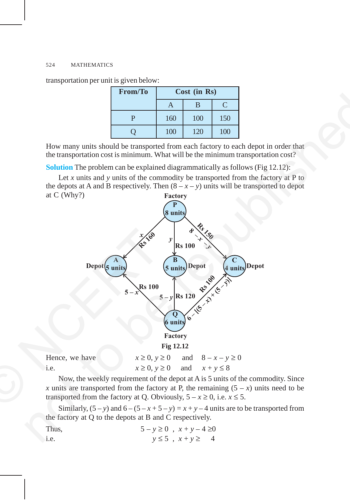transportation per unit is given below:

| <b>From/To</b> | Cost (in Rs) |     |     |
|----------------|--------------|-----|-----|
|                |              | B   |     |
| D              | 160          | 100 | 150 |
|                | 100          | 120 | 100 |

How many units should be transported from each factory to each depot in order that the transportation cost is minimum. What will be the minimum transportation cost?

**Solution** The problem can be explained diagrammatically as follows (Fig 12.12):

**Factory** Let *x* units and *y* units of the commodity be transported from the factory at P to the depots at A and B respectively. Then  $(8 - x - y)$  units will be transported to depot at C (Why?)



i.e.  $x \ge 0, y \ge 0$  and  $x + y \le 8$ 

Now, the weekly requirement of the depot at A is 5 units of the commodity. Since *x* units are transported from the factory at P, the remaining  $(5 - x)$  units need to be transported from the factory at Q. Obviously,  $5 - x \ge 0$ , i.e.  $x \le 5$ .

Similarly,  $(5 - y)$  and  $6 - (5 - x + 5 - y) = x + y - 4$  units are to be transported from the factory at Q to the depots at B and C respectively.

| Thus, | $5 - y \ge 0$ , $x + y - 4 \ge 0$ |                             |  |
|-------|-----------------------------------|-----------------------------|--|
| i.e.  |                                   | $y \leq 5$ , $x + y \geq 4$ |  |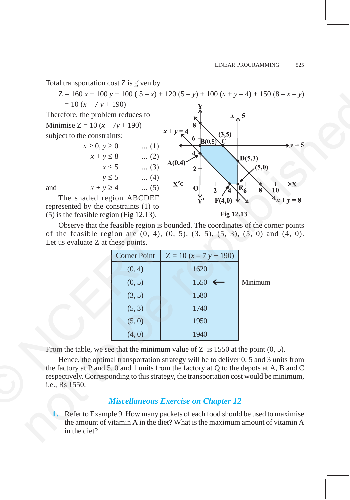Total transportation cost Z is given by

 $Z = 160 x + 100 y + 100 (5 - x) + 120 (5 - y) + 100 (x + y - 4) + 150 (8 - x - y)$  $= 10 (x - 7 y + 190)$ Therefore, the problem reduces to Minimise  $Z = 10(x - 7y + 190)$ subject to the constraints:  $x \ge 0, y \ge 0$  ... (1)  $x + y \le 8$  ... (2)  $x \le 5$  ... (3)  $y \le 5$  ... (4) and  $x + y \ge 4$  ... (5) The shaded region ABCDEF represented by the constraints (1) to 2=10x x : 100y : 100(1 - 37) 1120(1 - 37) 110(1 : 13-4) 1120(1 - 37)<br>
Therefore, the problem reduces on the republished by the republished by the republished by the republished by the republished to the constraints.<br>
Min

(5) is the feasible region (Fig 12.13).

**Fig 12.13**

Observe that the feasible region is bounded. The coordinates of the corner points of the feasible region are (0, 4), (0, 5), (3, 5), (5, 3), (5, 0) and (4, 0). Let us evaluate Z at these points.

|                                                                                                                                                                                                                                                              |                     | of the feasible region are $(0, 4)$ , $(0, 5)$ , $(3, 5)$ , $(5, 3)$ , $(5, 0)$ a |         |
|--------------------------------------------------------------------------------------------------------------------------------------------------------------------------------------------------------------------------------------------------------------|---------------------|-----------------------------------------------------------------------------------|---------|
| Let us evaluate Z at these points.                                                                                                                                                                                                                           |                     |                                                                                   |         |
|                                                                                                                                                                                                                                                              | <b>Corner Point</b> | $Z = 10(x - 7y + 190)$                                                            |         |
|                                                                                                                                                                                                                                                              | (0, 4)              | 1620                                                                              |         |
|                                                                                                                                                                                                                                                              | (0, 5)              | 1550                                                                              | Minimum |
|                                                                                                                                                                                                                                                              | (3, 5)              | 1580                                                                              |         |
|                                                                                                                                                                                                                                                              | (5, 3)              | 1740                                                                              |         |
|                                                                                                                                                                                                                                                              | (5,0)               | 1950                                                                              |         |
|                                                                                                                                                                                                                                                              | (4, 0)              | 1940                                                                              |         |
|                                                                                                                                                                                                                                                              |                     | From the table, we see that the minimum value of $Z$ is 1550 at the point (       |         |
| Hence, the optimal transportation strategy will be to deliver 0, 5 and 3<br>the factory at P and 5, 0 and 1 units from the factory at Q to the depots at<br>respectively. Corresponding to this strategy, the transportation cost would be<br>i.e., Rs 1550. |                     |                                                                                   |         |
|                                                                                                                                                                                                                                                              |                     | <b>Miscellaneous Exercise on Chapter 12</b>                                       |         |

From the table, we see that the minimum value of Z is 1550 at the point  $(0, 5)$ .

Hence, the optimal transportation strategy will be to deliver 0, 5 and 3 units from the factory at P and 5, 0 and 1 units from the factory at Q to the depots at A, B and C respectively. Corresponding to this strategy, the transportation cost would be minimum, i.e., Rs 1550.

## *Miscellaneous Exercise on Chapter 12*

**1.** Refer to Example 9. How many packets of each food should be used to maximise the amount of vitamin A in the diet? What is the maximum amount of vitamin A in the diet?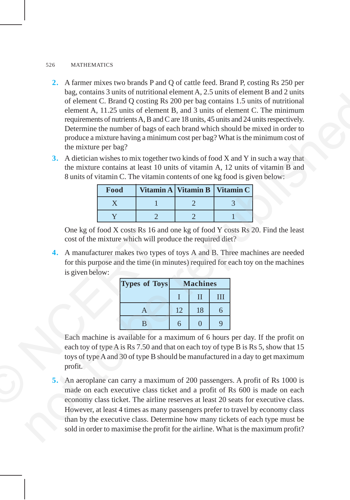- **2.** A farmer mixes two brands P and Q of cattle feed. Brand P, costing Rs 250 per bag, contains 3 units of nutritional element A, 2.5 units of element B and 2 units of element C. Brand Q costing Rs 200 per bag contains 1.5 units of nutritional element A, 11.25 units of element B, and 3 units of element C. The minimum requirements of nutrients A, B and C are 18 units, 45 units and 24 units respectively. Determine the number of bags of each brand which should be mixed in order to produce a mixture having a minimum cost per bag? What is the minimum cost of the mixture per bag? not continuo the matrimon of the number of the simulations and the simulation of element C. Brand Q cosing Rs 200 per hag contains L. Stand of numbional<br>element C. Brand Q cosing Rs 200 per hag contains L-Stand of numbion
	- **3.** A dietician wishes to mix together two kinds of food X and Y in such a way that the mixture contains at least 10 units of vitamin A, 12 units of vitamin B and 8 units of vitamin C. The vitamin contents of one kg food is given below:

| Food | Vitamin A Vitamin B Vitamin C |  |
|------|-------------------------------|--|
|      |                               |  |
|      |                               |  |

One kg of food X costs Rs 16 and one kg of food Y costs Rs 20. Find the least cost of the mixture which will produce the required diet?

**4.** A manufacturer makes two types of toys A and B. Three machines are needed for this purpose and the time (in minutes) required for each toy on the machines is given below:

| <b>Types of Toys</b> | <b>Machines</b> |    |   |
|----------------------|-----------------|----|---|
|                      |                 | H  | Ш |
|                      | 12              | 18 | 6 |
| R                    | 6               |    | q |

Each machine is available for a maximum of 6 hours per day. If the profit on each toy of type A is Rs 7.50 and that on each toy of type B is Rs 5, show that 15 toys of type A and 30 of type B should be manufactured in a day to get maximum profit. One kg of food X costs Rs 16 at<br>
cost of the mixture which will p<br>
4. A manufacturer makes two type<br>
for this purpose and the time (in<br>
is given below:<br>
Types of To<br>
is given below:<br>
Types of To<br>
B<br>
B<br>
Each machine is avai

**5.** An aeroplane can carry a maximum of 200 passengers. A profit of Rs 1000 is made on each executive class ticket and a profit of Rs 600 is made on each economy class ticket. The airline reserves at least 20 seats for executive class. However, at least 4 times as many passengers prefer to travel by economy class than by the executive class. Determine how many tickets of each type must be sold in order to maximise the profit for the airline. What is the maximum profit?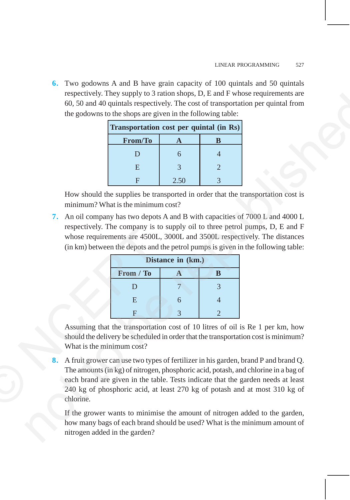**6.** Two godowns A and B have grain capacity of 100 quintals and 50 quintals respectively. They supply to 3 ration shops, D, E and F whose requirements are 60, 50 and 40 quintals respectively. The cost of transportation per quintal from the godowns to the shops are given in the following table:

| Transportation cost per quintal (in Rs) |      |   |  |
|-----------------------------------------|------|---|--|
| <b>From/To</b>                          |      | K |  |
| Ð                                       | 6    |   |  |
| E                                       |      |   |  |
|                                         | 2.50 |   |  |

How should the supplies be transported in order that the transportation cost is minimum? What is the minimum cost?

**7.** An oil company has two depots A and B with capacities of 7000 L and 4000 L respectively. The company is to supply oil to three petrol pumps, D, E and F whose requirements are 4500L, 3000L and 3500L respectively. The distances (in km) between the depots and the petrol pumps is given in the following table:

| Distance in (km.) |   |   |  |
|-------------------|---|---|--|
| From / To         |   | B |  |
| D                 |   |   |  |
| E                 | 6 |   |  |
| с                 |   |   |  |

Assuming that the transportation cost of 10 litres of oil is Re 1 per km, how should the delivery be scheduled in order that the transportation cost is minimum? What is the minimum cost?

**8.** A fruit grower can use two types of fertilizer in his garden, brand P and brand Q. The amounts (in kg) of nitrogen, phosphoric acid, potash, and chlorine in a bag of each brand are given in the table. Tests indicate that the garden needs at least 240 kg of phosphoric acid, at least 270 kg of potash and at most 310 kg of chlorine. Espectively. The company is a whose requirements are 4500L,<br>
(in km) between the depots and the property of the property of the property of the second of the second the delivery be scheduled What is the minimum cost?<br>
8. A respectively. They apply to a small value since the reputation per quintal from<br>
for 6.0 and 40 quintal is espectively. The cost of transportation per quintal from<br>
the godowns to the shops are given in the following tabl

If the grower wants to minimise the amount of nitrogen added to the garden, how many bags of each brand should be used? What is the minimum amount of nitrogen added in the garden?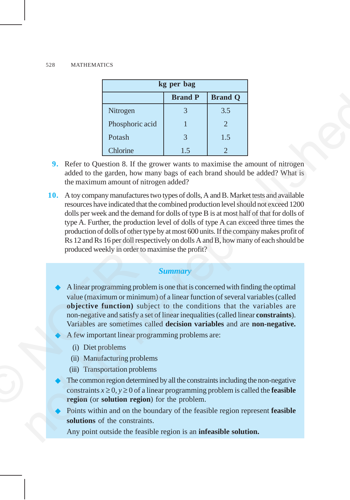| kg per bag                       |    |                       |  |  |
|----------------------------------|----|-----------------------|--|--|
| <b>Brand Q</b><br><b>Brand P</b> |    |                       |  |  |
| Nitrogen                         |    | 3.5                   |  |  |
| Phosphoric acid                  |    | $\mathcal{D}_{\cdot}$ |  |  |
| Potash                           | 3  | 1.5                   |  |  |
| Chlorine                         | 15 |                       |  |  |

- **9.** Refer to Question 8. If the grower wants to maximise the amount of nitrogen added to the garden, how many bags of each brand should be added? What is the maximum amount of nitrogen added?
- **10.** A toy company manufactures two types of dolls, A and B. Market tests and available resources have indicated that the combined production level should not exceed 1200 dolls per week and the demand for dolls of type B is at most half of that for dolls of type A. Further, the production level of dolls of type A can exceed three times the production of dolls of other type by at most 600 units. If the company makes profit of Rs 12 and Rs 16 per doll respectively on dolls A and B, how many of each should be produced weekly in order to maximise the profit? **EXERCT 1989**<br> **EXERCT AND ASSUMPLE CONSIDER THE CONSIDER CONSIDERATIVE CONSIDERATIVE CONSIDER SERVICE TO CONSIDER THE SUPPOSE THE SUPPOSE THE SUPPOSE THE SUPPOSE THE CONSIDERATIVE THE SUPPOSE THE SUPPOSE THE THE CONSIDER**

#### *Summary*

- A linear programming problem is one that is concerned with finding the optimal value (maximum or minimum) of a linear function of several variables (called **objective function)** subject to the conditions that the variables are non-negative and satisfy a set of linear inequalities (called linear **constraints**). Variables are sometimes called **decision variables** and are **non-negative.** production of dolls of other type b<br>
Rs 12 and Rs 16 per doll respectiv<br>
produced weekly in order to maxi<br>
produced weekly in order to maxi<br>
S<br>
A linear programming problem is<br>
value (maximum or minimum) o<br> **objective fun** 
	- A few important linear programming problems are:
		- (i) Diet problems
		- (ii) Manufacturing problems
		- (iii) Transportation problems
	- The common region determined by all the constraints including the non-negative constraints  $x \ge 0$ ,  $y \ge 0$  of a linear programming problem is called the **feasible region** (or **solution region**) for the problem.
	- Points within and on the boundary of the feasible region represent **feasible solutions** of the constraints.

Any point outside the feasible region is an **infeasible solution.**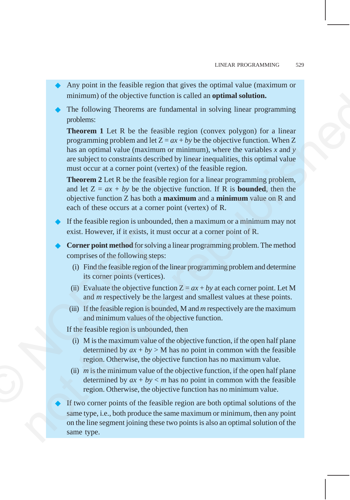- Any point in the feasible region that gives the optimal value (maximum or minimum) of the objective function is called an **optimal solution.**
- The following Theorems are fundamental in solving linear programming problems:

**Theorem 1** Let R be the feasible region (convex polygon) for a linear programming problem and let  $Z = ax + by$  be the objective function. When Z has an optimal value (maximum or minimum), where the variables *x* and *y* are subject to constraints described by linear inequalities, this optimal value must occur at a corner point (vertex) of the feasible region. minimum) of the objective function is called an **optimal solution**.<br>
The following Theorems are fundamental in solving linear **Theorem** and the republic and the rest form and the rest in the rest in the republic propressi

**Theorem 2** Let R be the feasible region for a linear programming problem, and let  $Z = ax + by$  be the objective function. If R is **bounded**, then the objective function Z has both a **maximum** and a **minimum** value on R and each of these occurs at a corner point (vertex) of R.

- If the feasible region is unbounded, then a maximum or a minimum may not exist. However, if it exists, it must occur at a corner point of R.
- **Corner point method** for solving a linear programming problem. The method comprises of the following steps:
	- (i) Find the feasible region of the linear programming problem and determine its corner points (vertices).
	- (ii) Evaluate the objective function  $Z = ax + by$  at each corner point. Let M and *m* respectively be the largest and smallest values at these points.
	- (iii) If the feasible region is bounded, M and *m* respectively are the maximum and minimum values of the objective function.

If the feasible region is unbounded, then

- (i) M is the maximum value of the objective function, if the open half plane determined by  $ax + by > M$  has no point in common with the feasible region. Otherwise, the objective function has no maximum value.
- (ii)  $m$  is the minimum value of the objective function, if the open half plane determined by  $ax + by < m$  has no point in common with the feasible region. Otherwise, the objective function has no minimum value. **Example 18** exist. However, if it exists, it m<br> **Corner point method** for solvin<br>
comprises of the following step<br>
(i) Find the feasible region of t<br>
its corner points (vertices)<br>
(ii) Evaluate the objective fun<br>
and *m* 
	- If two corner points of the feasible region are both optimal solutions of the same type, i.e., both produce the same maximum or minimum, then any point on the line segment joining these two points is also an optimal solution of the same type.